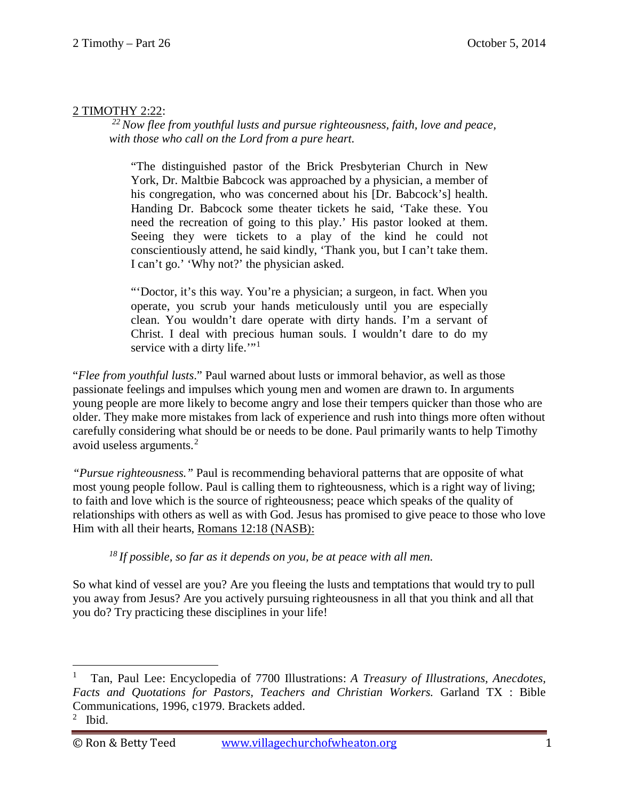## 2 TIMOTHY 2:22:

*22 Now flee from youthful lusts and pursue righteousness, faith, love and peace, with those who call on the Lord from a pure heart.* 

"The distinguished pastor of the Brick Presbyterian Church in New York, Dr. Maltbie Babcock was approached by a physician, a member of his congregation, who was concerned about his [Dr. Babcock's] health. Handing Dr. Babcock some theater tickets he said, 'Take these. You need the recreation of going to this play.' His pastor looked at them. Seeing they were tickets to a play of the kind he could not conscientiously attend, he said kindly, 'Thank you, but I can't take them. I can't go.' 'Why not?' the physician asked.

"'Doctor, it's this way. You're a physician; a surgeon, in fact. When you operate, you scrub your hands meticulously until you are especially clean. You wouldn't dare operate with dirty hands. I'm a servant of Christ. I deal with precious human souls. I wouldn't dare to do my service with a dirty life."<sup>[1](#page-0-0)</sup>

"*Flee from youthful lusts*." Paul warned about lusts or immoral behavior, as well as those passionate feelings and impulses which young men and women are drawn to. In arguments young people are more likely to become angry and lose their tempers quicker than those who are older. They make more mistakes from lack of experience and rush into things more often without carefully considering what should be or needs to be done. Paul primarily wants to help Timothy avoid useless arguments.<sup>[2](#page-0-1)</sup>

*"Pursue righteousness."* Paul is recommending behavioral patterns that are opposite of what most young people follow. Paul is calling them to righteousness, which is a right way of living; to faith and love which is the source of righteousness; peace which speaks of the quality of relationships with others as well as with God. Jesus has promised to give peace to those who love Him with all their hearts, Romans 12:18 (NASB):

*18 If possible, so far as it depends on you, be at peace with all men.*

So what kind of vessel are you? Are you fleeing the lusts and temptations that would try to pull you away from Jesus? Are you actively pursuing righteousness in all that you think and all that you do? Try practicing these disciplines in your life!

<span id="page-0-0"></span><sup>1</sup> Tan, Paul Lee: Encyclopedia of 7700 Illustrations: *A Treasury of Illustrations, Anecdotes, Facts and Quotations for Pastors, Teachers and Christian Workers.* Garland TX : Bible Communications, 1996, c1979. Brackets added.  $\overline{a}$ 

<span id="page-0-1"></span> $2$  Ibid.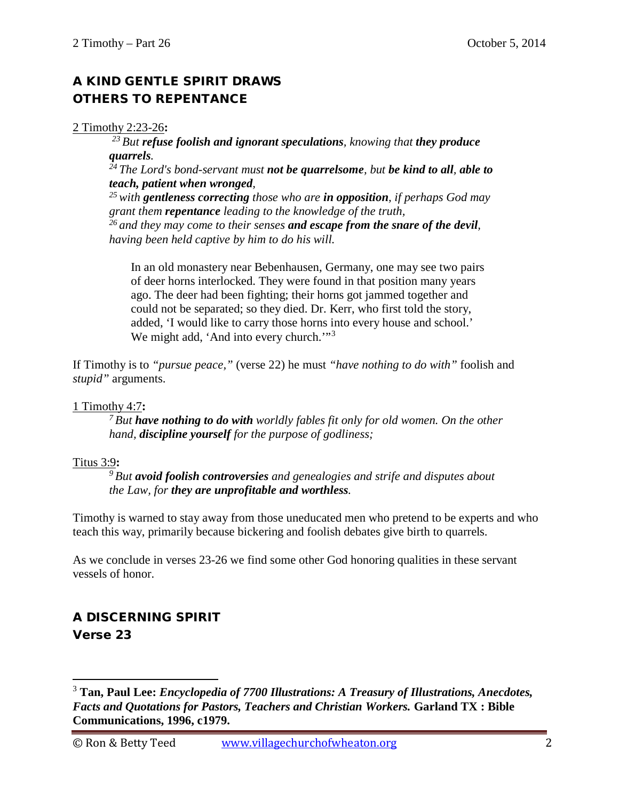## A KIND GENTLE SPIRIT DRAWS OTHERS TO REPENTANCE

#### 2 Timothy 2:23-26**:**

*23 But refuse foolish and ignorant speculations, knowing that they produce* 

*quarrels. 24 The Lord's bond-servant must not be quarrelsome, but be kind to all, able to teach, patient when wronged, 25 with gentleness correcting those who are in opposition, if perhaps God may* 

*grant them repentance leading to the knowledge of the truth,* 

*26 and they may come to their senses and escape from the snare of the devil, having been held captive by him to do his will.* 

In an old monastery near Bebenhausen, Germany, one may see two pairs of deer horns interlocked. They were found in that position many years ago. The deer had been fighting; their horns got jammed together and could not be separated; so they died. Dr. Kerr, who first told the story, added, 'I would like to carry those horns into every house and school.' We might add, 'And into every church.'"<sup>[3](#page-1-0)</sup>

If Timothy is to *"pursue peace,"* (verse 22) he must *"have nothing to do with"* foolish and *stupid"* arguments.

#### 1 Timothy 4:7**:**

*7 But have nothing to do with worldly fables fit only for old women. On the other hand, discipline yourself for the purpose of godliness;* 

### Titus 3:9**:**

*9 But avoid foolish controversies and genealogies and strife and disputes about the Law, for they are unprofitable and worthless.* 

Timothy is warned to stay away from those uneducated men who pretend to be experts and who teach this way, primarily because bickering and foolish debates give birth to quarrels.

As we conclude in verses 23-26 we find some other God honoring qualities in these servant vessels of honor.

## A DISCERNING SPIRIT Verse 23

<span id="page-1-0"></span><sup>3</sup> **Tan, Paul Lee:** *Encyclopedia of 7700 Illustrations: A Treasury of Illustrations, Anecdotes, Facts and Quotations for Pastors, Teachers and Christian Workers.* **Garland TX : Bible Communications, 1996, c1979.**  $\overline{a}$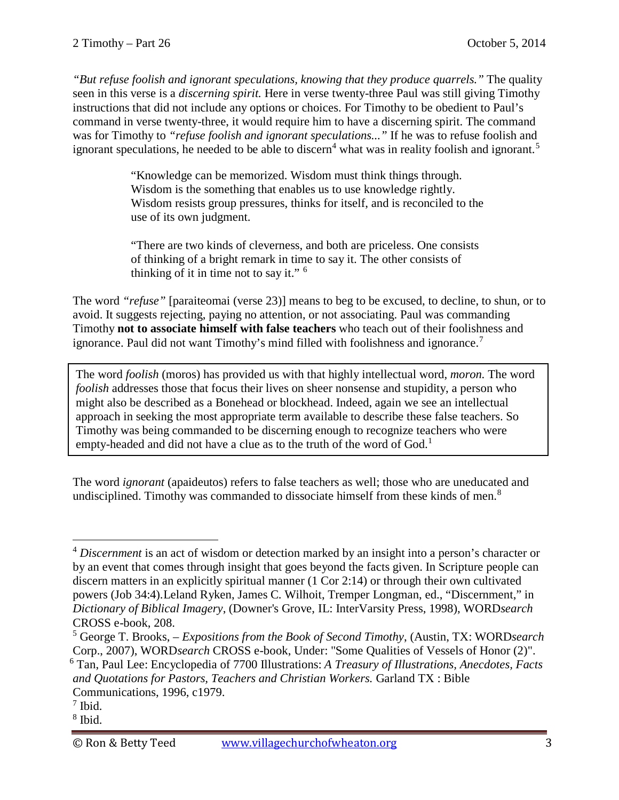*"But refuse foolish and ignorant speculations, knowing that they produce quarrels."* The quality seen in this verse is a *discerning spirit.* Here in verse twenty-three Paul was still giving Timothy instructions that did not include any options or choices. For Timothy to be obedient to Paul's command in verse twenty-three, it would require him to have a discerning spirit. The command was for Timothy to *"refuse foolish and ignorant speculations..."* If he was to refuse foolish and ignorant speculations, he needed to be able to discern<sup>[4](#page-2-0)</sup> what was in reality foolish and ignorant.<sup>[5](#page-2-1)</sup>

> "Knowledge can be memorized. Wisdom must think things through. Wisdom is the something that enables us to use knowledge rightly. Wisdom resists group pressures, thinks for itself, and is reconciled to the use of its own judgment.

"There are two kinds of cleverness, and both are priceless. One consists of thinking of a bright remark in time to say it. The other consists of thinking of it in time not to say it."  $6$ 

The word *"refuse"* [paraiteomai (verse 23)] means to beg to be excused, to decline, to shun, or to avoid. It suggests rejecting, paying no attention, or not associating. Paul was commanding Timothy **not to associate himself with false teachers** who teach out of their foolishness and ignorance. Paul did not want Timothy's mind filled with foolishness and ignorance.<sup>[7](#page-2-3)</sup>

The word *foolish* (moros) has provided us with that highly intellectual word, *moron.* The word *foolish* addresses those that focus their lives on sheer nonsense and stupidity, a person who might also be described as a Bonehead or blockhead. Indeed, again we see an intellectual approach in seeking the most appropriate term available to describe these false teachers. So Timothy was being commanded to be discerning enough to recognize teachers who were empty-headed and did not have a clue as to the truth of the word of God.<sup>1</sup>

The word *ignorant* (apaideutos) refers to false teachers as well; those who are uneducated and undisciplined. Timothy was commanded to dissociate himself from these kinds of men.<sup>[8](#page-2-4)</sup>

<span id="page-2-0"></span><sup>&</sup>lt;sup>4</sup> *Discernment* is an act of [wisdom](http://www.crossbooks.com/book.asp?pub=0&book=1347&sec=00013097%20%5C%20WISDOM) or detection marked by an insight into a person's character or by an event that comes through insight that goes beyond the facts given. In Scripture people can discern matters in an explicitly spiritual manner [\(1 Cor 2:14\)](http://www.crossbooks.com/verse.asp?ref=1Co%202:14) or through their own cultivated powers [\(Job 34:4\)](http://www.crossbooks.com/verse.asp?ref=Job%2034:4).Leland Ryken, James C. Wilhoit, Tremper Longman, ed., "Discernment," in *Dictionary of Biblical Imagery*, (Downer's Grove, IL: InterVarsity Press, 1998), WORD*search* CROSS e-book, 208.  $\overline{a}$ 

<span id="page-2-2"></span><span id="page-2-1"></span><sup>5</sup> George T. Brooks, *– Expositions from the Book of Second Timothy*, (Austin, TX: WORD*search* Corp., 2007), WORD*search* CROSS e-book, Under: "Some Qualities of Vessels of Honor (2)". <sup>6</sup> Tan, Paul Lee: Encyclopedia of 7700 Illustrations: *A Treasury of Illustrations, Anecdotes, Facts and Quotations for Pastors, Teachers and Christian Workers.* Garland TX : Bible Communications, 1996, c1979.

<span id="page-2-3"></span><sup>7</sup> Ibid.

<span id="page-2-4"></span> $8$  Ibid.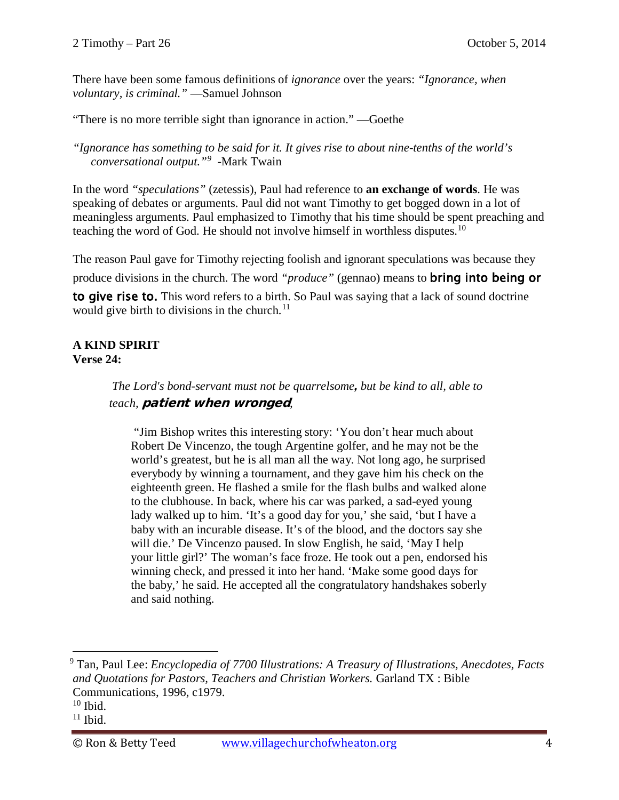There have been some famous definitions of *ignorance* over the years: *"Ignorance, when voluntary, is criminal."* —Samuel Johnson

"There is no more terrible sight than ignorance in action." —Goethe

*"Ignorance has something to be said for it. It gives rise to about nine-tenths of the world's conversational output."[9](#page-3-0)* -Mark Twain

In the word *"speculations"* (zetessis), Paul had reference to **an exchange of words**. He was speaking of debates or arguments. Paul did not want Timothy to get bogged down in a lot of meaningless arguments. Paul emphasized to Timothy that his time should be spent preaching and teaching the word of God. He should not involve himself in worthless disputes.<sup>[10](#page-3-1)</sup>

The reason Paul gave for Timothy rejecting foolish and ignorant speculations was because they produce divisions in the church. The word *"produce"* (gennao) means to bring into being or

to give rise to. This word refers to a birth. So Paul was saying that a lack of sound doctrine would give birth to divisions in the church. $^{11}$  $^{11}$  $^{11}$ 

## **A KIND SPIRIT**

**Verse 24:**

*The Lord's bond-servant must not be quarrelsome, but be kind to all, able to teach,* patient when wronged*,* 

"Jim Bishop writes this interesting story: 'You don't hear much about Robert De Vincenzo, the tough Argentine golfer, and he may not be the world's greatest, but he is all man all the way. Not long ago, he surprised everybody by winning a tournament, and they gave him his check on the eighteenth green. He flashed a smile for the flash bulbs and walked alone to the clubhouse. In back, where his car was parked, a sad-eyed young lady walked up to him. 'It's a good day for you,' she said, 'but I have a baby with an incurable disease. It's of the blood, and the doctors say she will die.' De Vincenzo paused. In slow English, he said, 'May I help your little girl?' The woman's face froze. He took out a pen, endorsed his winning check, and pressed it into her hand. 'Make some good days for the baby,' he said. He accepted all the congratulatory handshakes soberly and said nothing.

<span id="page-3-0"></span><sup>9</sup> Tan, Paul Lee: *Encyclopedia of 7700 Illustrations: A Treasury of Illustrations, Anecdotes, Facts and Quotations for Pastors, Teachers and Christian Workers.* Garland TX : Bible Communications, 1996, c1979.  $\overline{a}$ 

<span id="page-3-2"></span><span id="page-3-1"></span> $10$  Ibid.

 $11$  Ibid.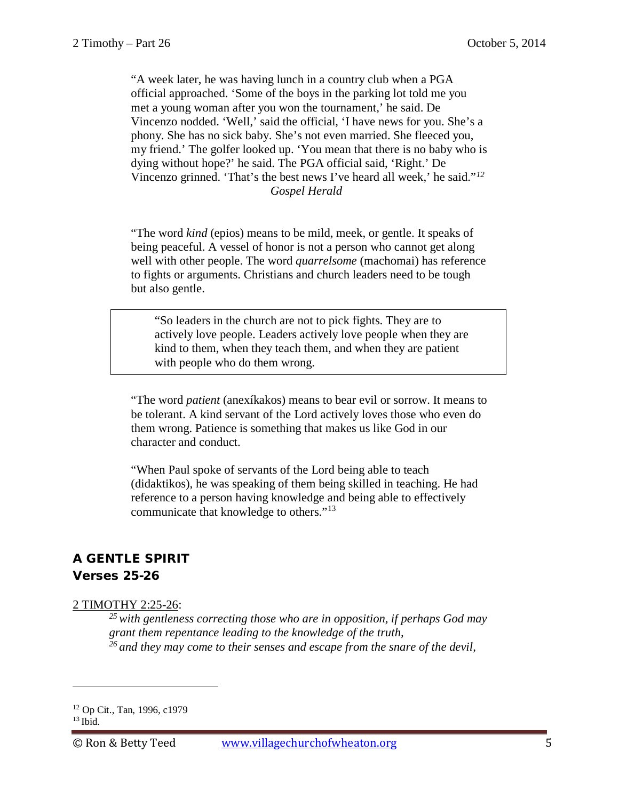"A week later, he was having lunch in a country club when a PGA official approached. 'Some of the boys in the parking lot told me you met a young woman after you won the tournament,' he said. De Vincenzo nodded. 'Well,' said the official, 'I have news for you. She's a phony. She has no sick baby. She's not even married. She fleeced you, my friend.' The golfer looked up. 'You mean that there is no baby who is dying without hope?' he said. The PGA official said, 'Right.' De Vincenzo grinned. 'That's the best news I've heard all week,' he said."*[12](#page-4-0) Gospel Herald*

"The word *kind* (epios) means to be mild, meek, or gentle. It speaks of being peaceful. A vessel of honor is not a person who cannot get along well with other people. The word *quarrelsome* (machomai) has reference to fights or arguments. Christians and church leaders need to be tough but also gentle.

"So leaders in the church are not to pick fights. They are to actively love people. Leaders actively love people when they are kind to them, when they teach them, and when they are patient with people who do them wrong.

"The word *patient* (anexíkakos) means to bear evil or sorrow. It means to be tolerant. A kind servant of the Lord actively loves those who even do them wrong. Patience is something that makes us like God in our character and conduct.

"When Paul spoke of servants of the Lord being able to teach (didaktikos), he was speaking of them being skilled in teaching. He had reference to a person having knowledge and being able to effectively communicate that knowledge to others."[13](#page-4-1)

## A GENTLE SPIRIT Verses 25-26

#### 2 TIMOTHY 2:25-26:

*25 with gentleness correcting those who are in opposition, if perhaps God may grant them repentance leading to the knowledge of the truth, 26 and they may come to their senses and escape from the snare of the devil,* 

 $\overline{a}$ 

<span id="page-4-1"></span><span id="page-4-0"></span><sup>12</sup> Op Cit., Tan, 1996, c1979  $13$  Ibid.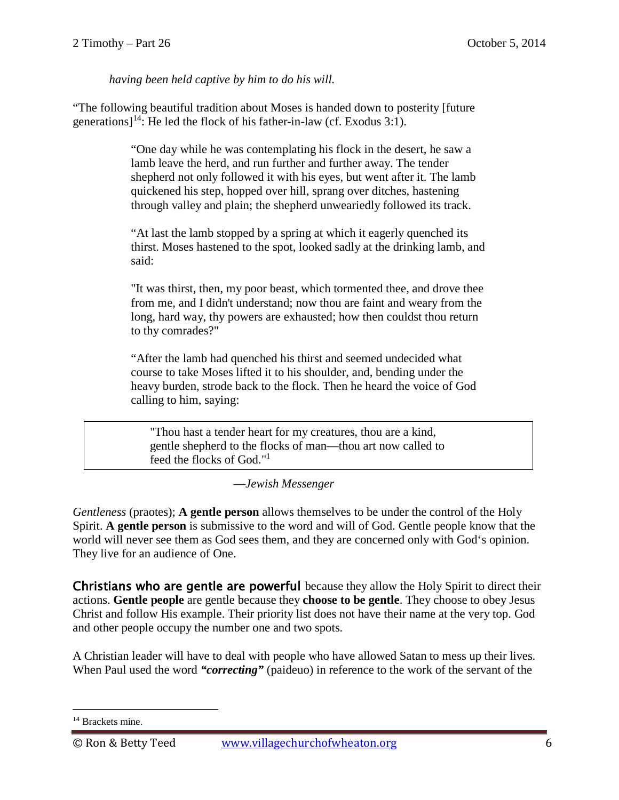*having been held captive by him to do his will.* 

"The following beautiful tradition about Moses is handed down to posterity [future generations]<sup>14</sup>: He led the flock of his father-in-law (cf. [Exodus 3:1\)](http://www.crossbooks.com/verse.asp?ref=Ex+3%3A1).

> "One day while he was contemplating his flock in the desert, he saw a lamb leave the herd, and run further and further away. The tender shepherd not only followed it with his eyes, but went after it. The lamb quickened his step, hopped over hill, sprang over ditches, hastening through valley and plain; the shepherd unweariedly followed its track.

"At last the lamb stopped by a spring at which it eagerly quenched its thirst. Moses hastened to the spot, looked sadly at the drinking lamb, and said:

"It was thirst, then, my poor beast, which tormented thee, and drove thee from me, and I didn't understand; now thou are faint and weary from the long, hard way, thy powers are exhausted; how then couldst thou return to thy comrades?"

"After the lamb had quenched his thirst and seemed undecided what course to take Moses lifted it to his shoulder, and, bending under the heavy burden, strode back to the flock. Then he heard the voice of God calling to him, saying:

"Thou hast a tender heart for my creatures, thou are a kind, gentle shepherd to the flocks of man—thou art now called to feed the flocks of God."1

—*Jewish Messenger*

*Gentleness* (praotes); **A gentle person** allows themselves to be under the control of the Holy Spirit. **A gentle person** is submissive to the word and will of God. Gentle people know that the world will never see them as God sees them, and they are concerned only with God's opinion. They live for an audience of One.

Christians who are gentle are powerful because they allow the Holy Spirit to direct their actions. **Gentle people** are gentle because they **choose to be gentle**. They choose to obey Jesus Christ and follow His example. Their priority list does not have their name at the very top. God and other people occupy the number one and two spots.

A Christian leader will have to deal with people who have allowed Satan to mess up their lives. When Paul used the word *"correcting"* (paideuo) in reference to the work of the servant of the

 $\overline{a}$ 

<span id="page-5-0"></span><sup>&</sup>lt;sup>14</sup> Brackets mine.  $\overline{a}$ 

<sup>©</sup> Ron & Betty Teed [www.villagechurchofwheaton.org](http://www.villagechurchofwheaton.org/) 6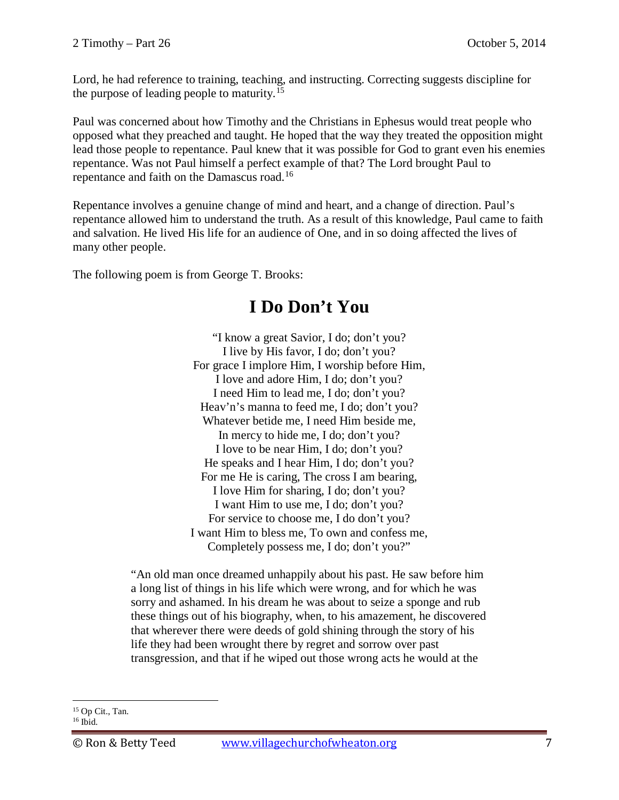Lord, he had reference to training, teaching, and instructing. Correcting suggests discipline for the purpose of leading people to maturity.<sup>[15](#page-6-0)</sup>

Paul was concerned about how Timothy and the Christians in Ephesus would treat people who opposed what they preached and taught. He hoped that the way they treated the opposition might lead those people to repentance. Paul knew that it was possible for God to grant even his enemies repentance. Was not Paul himself a perfect example of that? The Lord brought Paul to repentance and faith on the Damascus road.<sup>[16](#page-6-1)</sup>

Repentance involves a genuine change of mind and heart, and a change of direction. Paul's repentance allowed him to understand the truth. As a result of this knowledge, Paul came to faith and salvation. He lived His life for an audience of One, and in so doing affected the lives of many other people.

The following poem is from George T. Brooks:

# **I Do Don't You**

"I know a great Savior, I do; don't you? I live by His favor, I do; don't you? For grace I implore Him, I worship before Him, I love and adore Him, I do; don't you? I need Him to lead me, I do; don't you? Heav'n's manna to feed me, I do; don't you? Whatever betide me, I need Him beside me, In mercy to hide me, I do; don't you? I love to be near Him, I do; don't you? He speaks and I hear Him, I do; don't you? For me He is caring, The cross I am bearing, I love Him for sharing, I do; don't you? I want Him to use me, I do; don't you? For service to choose me, I do don't you? I want Him to bless me, To own and confess me, Completely possess me, I do; don't you?"

"An old man once dreamed unhappily about his past. He saw before him a long list of things in his life which were wrong, and for which he was sorry and ashamed. In his dream he was about to seize a sponge and rub these things out of his biography, when, to his amazement, he discovered that wherever there were deeds of gold shining through the story of his life they had been wrought there by regret and sorrow over past transgression, and that if he wiped out those wrong acts he would at the

<span id="page-6-1"></span><span id="page-6-0"></span><sup>15</sup> Op Cit., Tan. <sup>16</sup> Ibid.  $\overline{a}$